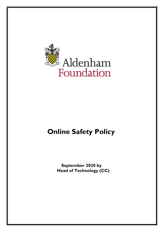

# **Online Safety Policy**

**September 2020 by Head of Technology (CC)**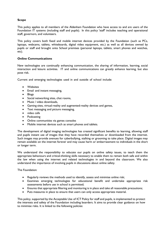# **Scope**

This policy applies to all members of the Aldenham Foundation who have access to and are users of the Foundation IT systems (including staff and pupils). In this policy 'staff' includes teaching and operational staff, governors, and volunteers.

This policy covers both fixed and mobile internet devices provided by the Foundation (such as PCs, laptops, webcams, tablets, whiteboards, digital video equipment, etc.) as well as all devices owned by pupils or staff and brought onto School premises (personal laptops, tablets, smart phones and watches, etc).

## **Online Communications**

New technologies are continually enhancing communication, the sharing of information, learning, social interaction and leisure activities. IT and online communications can greatly enhance learning, but also pose risk.

Current and emerging technologies used in and outside of school include:

- **Websites**
- Email and instant messaging,
- Blogs
- Social networking sites, chat rooms,
- Music / video downloads,
- Gaming sites, virtual-reality and augmented-reality devices and games,
- Text messaging and picture messaging,
- video calls
- Podcasting
- Online communities via games consoles
- Mobile internet devices such as smart phones and tablets.

The development of digital imaging technologies has created significant benefits to learning, allowing staff and pupils instant use of images that they have recorded themselves or downloaded from the internet. Such images may provide avenues for cyberbullying, stalking or grooming to take place. Digital images may remain available on the internet forever and may cause harm or embarrassment to individuals in the short or longer term.

We understand the responsibility to educate our pupils on online safety issues, to teach them the appropriate behaviours and critical-thinking skills necessary to enable them to remain both safe and within the law when using the internet and related technologies in and beyond the classroom. We also understand the importance of involving pupils in discussions about online safety.

The Foundation:

- Regularly reviews the methods used to identify, assess and minimise online risk;
- Examines emerging technologies for educational benefit and undertake appropriate risk assessments before use in school is permitted;
- Ensures that appropriate filtering and monitoring is in place and take all reasonable precautions;
- Puts measures in place to ensure that users can only access appropriate material.

This policy, supported by the Acceptable Use of ICT Policy for staff and pupils, is implemented to protect the interests and safety of the Foundation including boarders. It aims to provide clear guidance on how to minimise risks. It is linked to the following policies: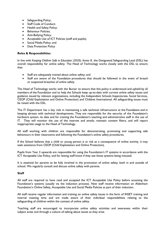- Safeguarding Policy;
- Staff Code of Conduct;
- Health and Safety Policy;
- Behaviour Policies;
- Anti-Bullying Policy;
- Acceptable Use of ICT Policies (staff and pupils);
- Social Media Policy; and
- **Data Protection Policy**

## **Roles & Responsibilities**

In line with *Keeping Children Safe in Education (2020), Annex B¸* the Designated Safeguarding Lead (DSL) has overall responsibility for online safety. The Head of Technology works closely with the DSL to ensure that:

- Staff are adequately trained about online safety; and
- Staff are aware of the Foundation procedures that should be followed in the event of breach or suspected breaches of online safety.

The Head of Technology works with the Bursar to ensure that this policy is understood and upheld by all members of the Foundation and to help the Schools keep up-to-date with current online safety issues and guidance issued by relevant organisations, including the Independent Schools Inspectorate, Social Services, CEOP (Child Exploitation and Online Protection) and Childnet International. All safeguarding issues must be raised with the DSL.

The IT Department has a key role in maintaining a safe technical infrastructure at the Foundation and in keeping abreast with technical developments. They are responsible for the security of the Foundation's hardware system, its data and for training the Foundation's teaching and administrative staff in the use of IT. They will monitor the use of the internet and emails, maintain content filters, and will report inappropriate usage to the Head of Technology.

All staff working with children are responsible for demonstrating, promoting and supporting safe behaviours in their classrooms and following the Foundation's online safety procedures.

If the School believes that a child or young person is at risk as a consequence of online activity, it may seek assistance from CEOP (Child Exploitation and Online Protection).

Pupils from Year 3 upwards are responsible for using the Foundation's IT systems in accordance with the ICT Acceptable Use Policy, and for letting staff know if they see those systems being misused.

It is essential for parents to be fully involved in the promotion of online safety, both in and outside of school. We regularly consult and discuss online safety with parents.

## **Staff**

All staff are required to have read and accepted the ICT Acceptable Use Policy before accessing the Foundation's systems (usually via the induction process). New staff receive information on Aldenham Foundation's Online Safety, Acceptable Use and Social Media Policies as part of their induction.

All staff receive regular information and training on online safety issues in the form of INSET training and internal meeting time and are made aware of their individual responsibilities relating to the safeguarding of children within the context of online safety.

Teaching staff are encouraged to incorporate online safety activities and awareness within their subject areas and through a culture of talking about issues as they arise.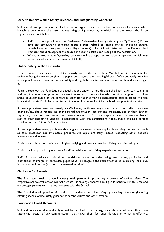#### **Duty to Report Online Safety Breaches and Safeguarding Concerns**

Staff should promptly inform the Head of Technology if they suspect or become aware of an online safety breach, except where the case involves safeguarding concerns, in which case the matter should be reported as set out below:

- Staff must promptly inform the Designated Safeguarding Lead (preferably via MyConcern) if they have any safeguarding concerns about a pupil related to online activity (including sexting, cyberbullying and inappropriate or illegal content). The DSL will liaise with the Deputy Head (Pastoral) about an appropriate course of action to take upon receipt of the notification.
- Where appropriate, safeguarding concerns will be reported to relevant agencies (which may include social services, the police and CEOP).

#### **Online Safety in the Curriculum**

IT and online resources are used increasingly across the curriculum. We believe it is essential for online safety guidance to be given to pupils on a regular and meaningful basis. We continually look for new opportunities to promote online safety and regularly monitor and assess our pupils' understanding of it.

Pupils throughout the Foundation are taught about safety matters through the Informatics curriculum. In addition, the Foundation provides opportunities to teach about online safety within a range of curriculum areas. Educating pupils on the dangers of technologies that may be encountered outside school will also be carried out via PSHE, by presentations in assemblies, as well as informally when opportunities arise.

At age-appropriate levels, and usually via Wellbeing, pupils are taught about how to look after their own online safety, about recognising online sexual exploitation, stalking and grooming, and of their duty to report any such instances they or their peers come across. Pupils can report concerns to any member of staff at their respective Schools in accordance with the Safeguarding Policy. Pupils can also contact Childline or the Children's Commissioner.

At age-appropriate levels, pupils are also taught about relevant laws applicable to using the internet, such as data protection and intellectual property. All pupils are taught about respecting other people's information and images.

Pupils are taught about the impact of cyber-bullying and how to seek help if they are affected by it.

Pupils should approach any member of staff for advice or help if they experience problems.

Staff inform and educate pupils about the risks associated with the taking, use, sharing, publication and distribution of images. In particular, pupils need to recognise the risks attached to publishing their own images on the internet (e.g. on social networking sites).

#### **Guidance for Parents**

The Foundation seeks to work closely with parents in promoting a culture of online safety. The respective Schools will always contact parents if it has any concerns about pupils' behaviour in this area and encourages parents to share any concerns with the School.

The Foundation will provide information and guidance on online safety by a variety of means (including offering specific online safety guidance at parent forums and other events).

#### **Foundation Email Accounts**

Staff and pupils should immediately report to the Head of Technology (or in the case of pupils, their form tutor) the receipt of any communication that makes them feel uncomfortable or which is offensive,